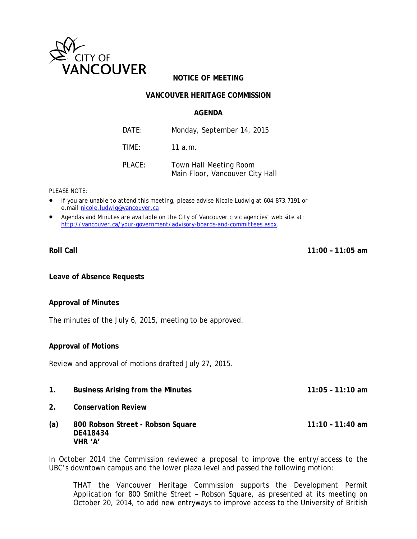

# **NOTICE OF MEETING**

### **VANCOUVER HERITAGE COMMISSION**

#### **AGENDA**

| DATE:     | Monday, September 14, 2015                                |  |
|-----------|-----------------------------------------------------------|--|
| TIME:     | 11 a.m.                                                   |  |
| $PI$ ACF: | Town Hall Meeting Room<br>Main Floor, Vancouver City Hall |  |

*PLEASE NOTE:*

- *If you are unable to attend this meeting, please advise Nicole Ludwig at 604.873.7191 or e.mail [nicole.ludwig@vancouver.ca](mailto:nicole.ludwig@vancouver.ca)*
- *Agendas and Minutes are available on the City of Vancouver civic agencies' web site at: <http://vancouver.ca/your-government/advisory-boards-and-committees.aspx>*.

**Roll Call 11:00 – 11:05 am**

**Leave of Absence Requests**

#### **Approval of Minutes**

The minutes of the July 6, 2015, meeting to be approved.

#### **Approval of Motions**

Review and approval of motions drafted July 27, 2015.

- **1. Business Arising from the Minutes 11:05 – 11:10 am**
- **2. Conservation Review**
- **(a) 800 Robson Street - Robson Square 11:10 – 11:40 am DE418434 VHR 'A'**

In October 2014 the Commission reviewed a proposal to improve the entry/access to the UBC's downtown campus and the lower plaza level and passed the following motion:

THAT the Vancouver Heritage Commission supports the Development Permit Application for 800 Smithe Street – Robson Square, as presented at its meeting on October 20, 2014, to add new entryways to improve access to the University of British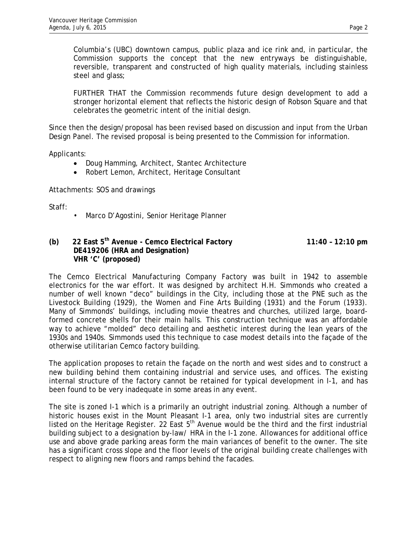Columbia's (UBC) downtown campus, public plaza and ice rink and, in particular, the Commission supports the concept that the new entryways be distinguishable, reversible, transparent and constructed of high quality materials, including stainless steel and glass;

FURTHER THAT the Commission recommends future design development to add a stronger horizontal element that reflects the historic design of Robson Square and that celebrates the geometric intent of the initial design.

Since then the design/proposal has been revised based on discussion and input from the Urban Design Panel. The revised proposal is being presented to the Commission for information.

Applicants:

- Doug Hamming, Architect, Stantec Architecture
- Robert Lemon, Architect, Heritage Consultant

Attachments: SOS and drawings

Staff:

• Marco D'Agostini, Senior Heritage Planner

## **(b) 22 East 5th Avenue - Cemco Electrical Factory 11:40 – 12:10 pm DE419206 (HRA and Designation) VHR 'C' (proposed)**

The Cemco Electrical Manufacturing Company Factory was built in 1942 to assemble electronics for the war effort. It was designed by architect H.H. Simmonds who created a number of well known "deco" buildings in the City, including those at the PNE such as the Livestock Building (1929), the Women and Fine Arts Building (1931) and the Forum (1933). Many of Simmonds' buildings, including movie theatres and churches, utilized large, boardformed concrete shells for their main halls. This construction technique was an affordable way to achieve "molded" deco detailing and aesthetic interest during the lean years of the 1930s and 1940s. Simmonds used this technique to case modest details into the façade of the otherwise utilitarian Cemco factory building.

The application proposes to retain the façade on the north and west sides and to construct a new building behind them containing industrial and service uses, and offices. The existing internal structure of the factory cannot be retained for typical development in I-1, and has been found to be very inadequate in some areas in any event.

The site is zoned I-1 which is a primarily an outright industrial zoning. Although a number of historic houses exist in the Mount Pleasant I-1 area, only two industrial sites are currently listed on the Heritage Register. 22 East  $5<sup>th</sup>$  Avenue would be the third and the first industrial building subject to a designation by-law/ HRA in the I-1 zone. Allowances for additional office use and above grade parking areas form the main variances of benefit to the owner. The site has a significant cross slope and the floor levels of the original building create challenges with respect to aligning new floors and ramps behind the facades.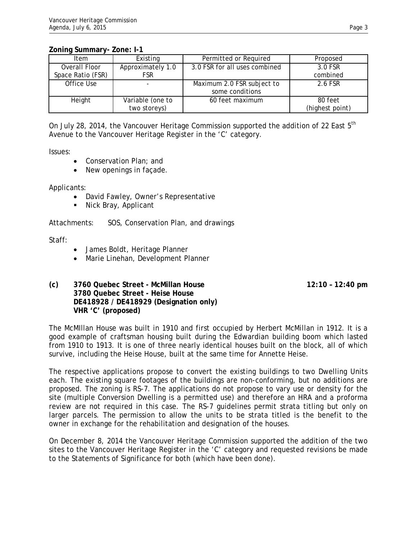## **Zoning Summary- Zone: I-1**

| Item              | Existing          | Permitted or Required         | Proposed        |
|-------------------|-------------------|-------------------------------|-----------------|
| Overall Floor     | Approximately 1.0 | 3.0 FSR for all uses combined | 3.0 FSR         |
| Space Ratio (FSR) | <b>FSR</b>        |                               | combined        |
| Office Use        |                   | Maximum 2.0 FSR subject to    | 2.6 FSR         |
|                   |                   | some conditions               |                 |
| Height            | Variable (one to  | 60 feet maximum               | 80 feet         |
|                   | two storeys)      |                               | (highest point) |

On July 28, 2014, the Vancouver Heritage Commission supported the addition of 22 East 5<sup>th</sup> Avenue to the Vancouver Heritage Register in the 'C' category.

Issues:

- Conservation Plan; and
- New openings in facade.

Applicants:

- David Fawley, Owner's Representative
- **Nick Bray, Applicant**

Attachments: SOS, Conservation Plan, and drawings

Staff:

- James Boldt, Heritage Planner
- Marie Linehan, Development Planner

**(c) 3760 Quebec Street - McMillan House 12:10 – 12:40 pm 3780 Quebec Street - Heise House DE418928 / DE418929 (Designation only) VHR 'C' (proposed)**

The McMIllan House was built in 1910 and first occupied by Herbert McMillan in 1912. It is a good example of craftsman housing built during the Edwardian building boom which lasted from 1910 to 1913. It is one of three nearly identical houses built on the block, all of which survive, including the Heise House, built at the same time for Annette Heise.

The respective applications propose to convert the existing buildings to two Dwelling Units each. The existing square footages of the buildings are non-conforming, but no additions are proposed. The zoning is RS-7. The applications do not propose to vary use or density for the site (multiple Conversion Dwelling is a permitted use) and therefore an HRA and a proforma review are not required in this case. The RS-7 guidelines permit strata titling but only on larger parcels. The permission to allow the units to be strata titled is the benefit to the owner in exchange for the rehabilitation and designation of the houses.

On December 8, 2014 the Vancouver Heritage Commission supported the addition of the two sites to the Vancouver Heritage Register in the 'C' category and requested revisions be made to the Statements of Significance for both (which have been done).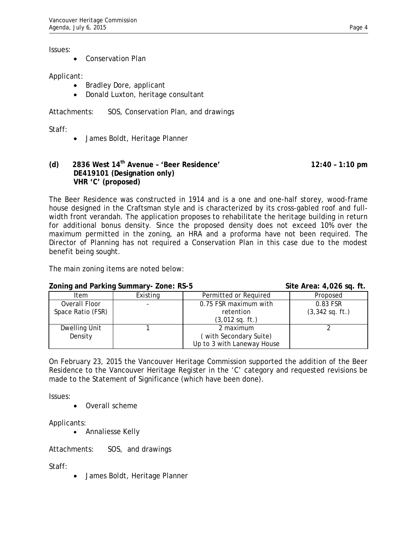Issues:

• Conservation Plan

### Applicant:

- Bradley Dore, applicant
- Donald Luxton, heritage consultant

Attachments: SOS, Conservation Plan, and drawings

Staff:

• James Boldt, Heritage Planner

## **(d) 2836 West 14th Avenue – 'Beer Residence' 12:40 – 1:10 pm DE419101 (Designation only) VHR 'C' (proposed)**

The Beer Residence was constructed in 1914 and is a one and one-half storey, wood-frame house designed in the Craftsman style and is characterized by its cross-gabled roof and fullwidth front verandah. The application proposes to rehabilitate the heritage building in return for additional bonus density. Since the proposed density does not exceed 10% over the maximum permitted in the zoning, an HRA and a proforma have not been required. The Director of Planning has not required a Conservation Plan in this case due to the modest benefit being sought.

The main zoning items are noted below:

## **Zoning and Parking Summary-Zone: RS-5 Steps Street Area: 4,026 sq. ft.**

| Evilling and I anning Jummary Evilc. No J |          |                            | $3110$ at $60.7020$ $39.11$ |
|-------------------------------------------|----------|----------------------------|-----------------------------|
| Item                                      | Existing | Permitted or Required      | Proposed                    |
| Overall Floor                             |          | 0.75 FSR maximum with      | 0.83 FSR                    |
| Space Ratio (FSR)                         |          | retention                  | $(3,342$ sq. ft.)           |
|                                           |          | $(3,012$ sq. ft.)          |                             |
| Dwelling Unit                             |          | 2 maximum                  |                             |
| Density                                   |          | (with Secondary Suite)     |                             |
|                                           |          | Up to 3 with Laneway House |                             |

On February 23, 2015 the Vancouver Heritage Commission supported the addition of the Beer Residence to the Vancouver Heritage Register in the 'C' category and requested revisions be made to the Statement of Significance (which have been done).

Issues:

• Overall scheme

Applicants:

• Annaliesse Kelly

Attachments: SOS, and drawings

Staff:

• James Boldt, Heritage Planner